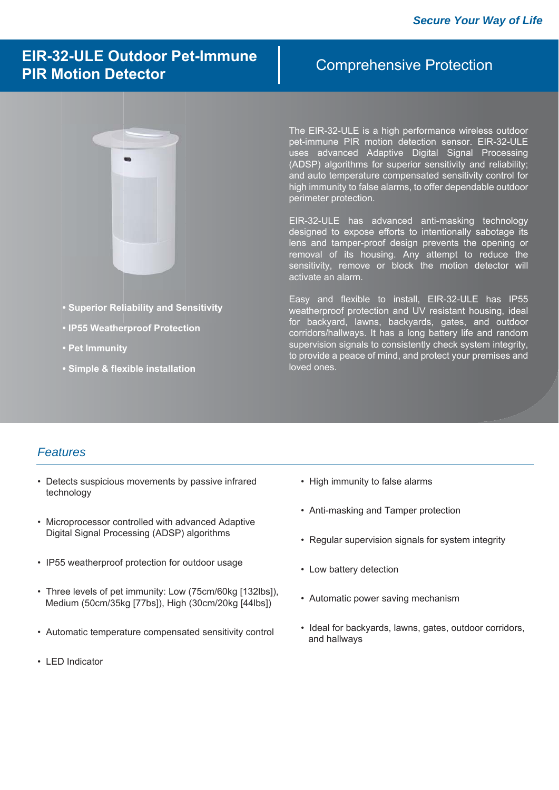# **EIR-32-ULE Outdoor Pet-Immune PIR Motion Detector**

### Comprehensive Protection



- **Superior Reliability and Sensitivity Sensitivit**
- **IP55 Weatherproof Protection**
- **Pet Immunity**
- **Simple & flexible installation**

The EIR-32-ULE is a high performance wireless outdoor pet-immune PIR motion detection sensor. EIR-32-ULE uses advanced Adaptive Digital Signal Processing (ADSP) algorithms for superior sensitivity and reliability; and auto temperature compensated sensitivity control for high immunity to false alarms, to offer dependable outdoor perimeter protection.

EIR-32-ULE has advanced anti-masking technology designed to expose efforts to intentionally sabotage its lens and tamper-proof design prevents the opening or removal of its housing. Any attempt to reduce the sensitivity, remove or block the motion detector will activate an alarm.

Easy and flexible to install, EIR-32-ULE has IP55 weatherproof protection and UV resistant housing, ideal for backyard, lawns, backyards, gates, and outdoor corridors/hallways. It has a long battery life and random supervision signals to consistently check system integrity. to provide a peace of mind, and protect your premises and loved ones.

#### *Features*

- Detects suspicious movements by passive infrared technology
- Microprocessor controlled with advanced Adaptive Digital Signal Processing (ADSP) algorithms
- IP55 weatherproof protection for outdoor usage
- Three levels of pet immunity: Low (75cm/60kg [132lbs]), Medium (50cm/35kg [77bs]), High (30cm/20kg [44lbs])
- Automatic temperature compensated sensitivity control
- LED Indicator
- High immunity to false alarms
- Anti-masking and Tamper protection
- Regular supervision signals for system integrity
- Low battery detection
- Automatic power saving mechanism
- Ideal for backyards, lawns, gates, outdoor corridors, and hallways